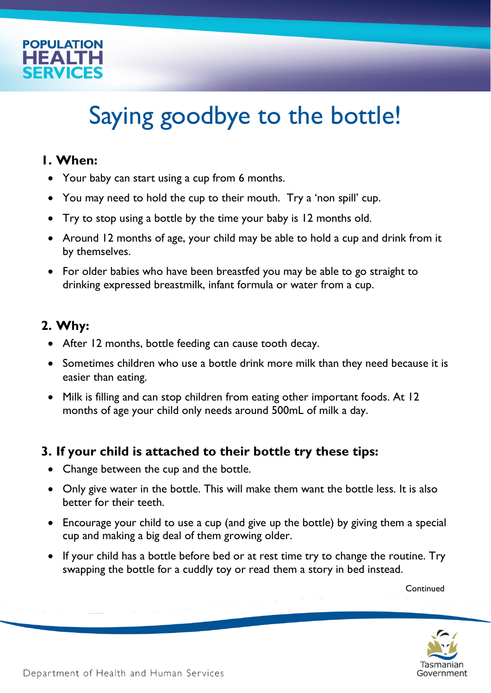

# Saying goodbye to the bottle!

#### **1. When:**

- Your baby can start using a cup from 6 months.
- You may need to hold the cup to their mouth. Try a 'non spill' cup.
- Try to stop using a bottle by the time your baby is 12 months old.
- Around 12 months of age, your child may be able to hold a cup and drink from it by themselves.
- For older babies who have been breastfed you may be able to go straight to drinking expressed breastmilk, infant formula or water from a cup.

# **2. Why:**

- After 12 months, bottle feeding can cause tooth decay.
- Sometimes children who use a bottle drink more milk than they need because it is easier than eating.
- Milk is filling and can stop children from eating other important foods. At 12 months of age your child only needs around 500mL of milk a day.

## **3. If your child is attached to their bottle try these tips:**

- Change between the cup and the bottle.
- Only give water in the bottle. This will make them want the bottle less. It is also better for their teeth.
- Encourage your child to use a cup (and give up the bottle) by giving them a special cup and making a big deal of them growing older.
- If your child has a bottle before bed or at rest time try to change the routine. Try swapping the bottle for a cuddly toy or read them a story in bed instead.

Continued